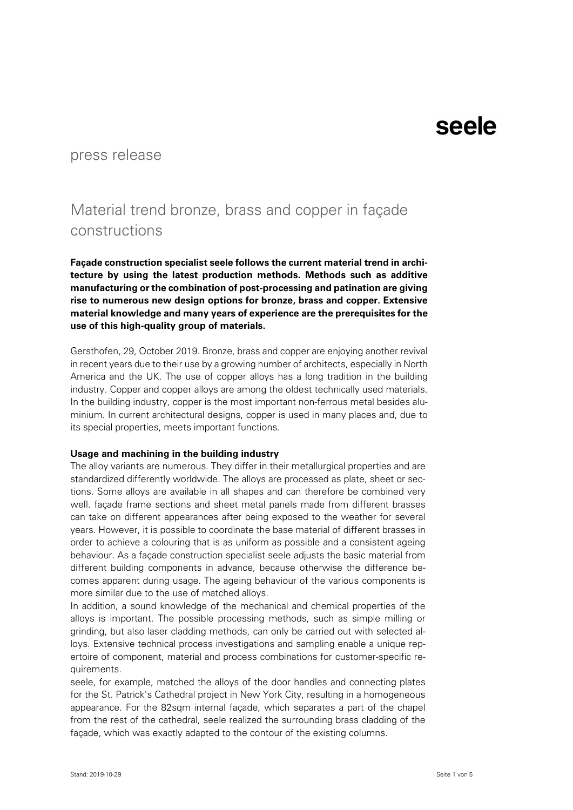#### press release

### Material trend bronze, brass and copper in façade constructions

**Façade construction specialist seele follows the current material trend in architecture by using the latest production methods. Methods such as additive manufacturing or the combination of post-processing and patination are giving rise to numerous new design options for bronze, brass and copper. Extensive material knowledge and many years of experience are the prerequisites for the use of this high-quality group of materials.**

Gersthofen, 29, October 2019. Bronze, brass and copper are enjoying another revival in recent years due to their use by a growing number of architects, especially in North America and the UK. The use of copper alloys has a long tradition in the building industry. Copper and copper alloys are among the oldest technically used materials. In the building industry, copper is the most important non-ferrous metal besides aluminium. In current architectural designs, copper is used in many places and, due to its special properties, meets important functions.

#### **Usage and machining in the building industry**

The alloy variants are numerous. They differ in their metallurgical properties and are standardized differently worldwide. The alloys are processed as plate, sheet or sections. Some alloys are available in all shapes and can therefore be combined very well. façade frame sections and sheet metal panels made from different brasses can take on different appearances after being exposed to the weather for several years. However, it is possible to coordinate the base material of different brasses in order to achieve a colouring that is as uniform as possible and a consistent ageing behaviour. As a façade construction specialist seele adjusts the basic material from different building components in advance, because otherwise the difference becomes apparent during usage. The ageing behaviour of the various components is more similar due to the use of matched alloys.

In addition, a sound knowledge of the mechanical and chemical properties of the alloys is important. The possible processing methods, such as simple milling or grinding, but also laser cladding methods, can only be carried out with selected alloys. Extensive technical process investigations and sampling enable a unique repertoire of component, material and process combinations for customer-specific requirements.

seele, for example, matched the alloys of the door handles and connecting plates for the St. Patrick's Cathedral project in New York City, resulting in a homogeneous appearance. For the 82sqm internal façade, which separates a part of the chapel from the rest of the cathedral, seele realized the surrounding brass cladding of the façade, which was exactly adapted to the contour of the existing columns.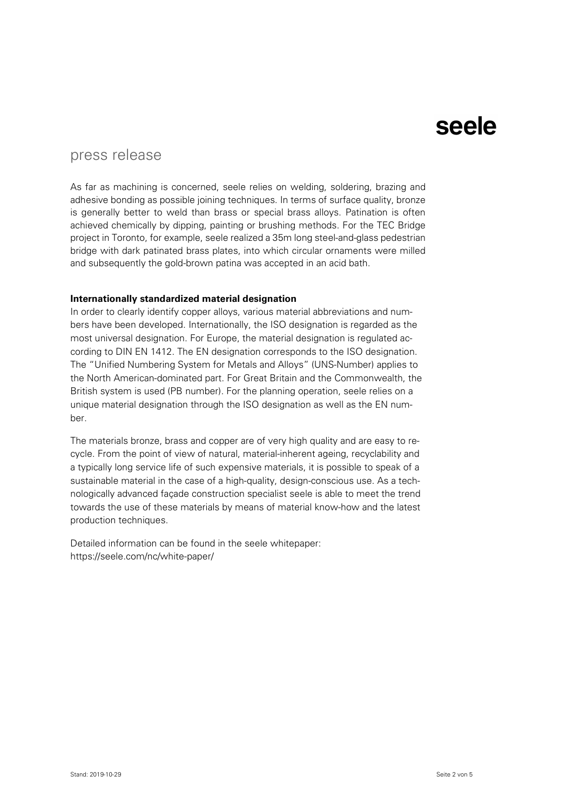### press release

As far as machining is concerned, seele relies on welding, soldering, brazing and adhesive bonding as possible joining techniques. In terms of surface quality, bronze is generally better to weld than brass or special brass alloys. Patination is often achieved chemically by dipping, painting or brushing methods. For the TEC Bridge project in Toronto, for example, seele realized a 35m long steel-and-glass pedestrian bridge with dark patinated brass plates, into which circular ornaments were milled and subsequently the gold-brown patina was accepted in an acid bath.

#### **Internationally standardized material designation**

In order to clearly identify copper alloys, various material abbreviations and numbers have been developed. Internationally, the ISO designation is regarded as the most universal designation. For Europe, the material designation is regulated according to DIN EN 1412. The EN designation corresponds to the ISO designation. The "Unified Numbering System for Metals and Alloys" (UNS-Number) applies to the North American-dominated part. For Great Britain and the Commonwealth, the British system is used (PB number). For the planning operation, seele relies on a unique material designation through the ISO designation as well as the EN number.

The materials bronze, brass and copper are of very high quality and are easy to recycle. From the point of view of natural, material-inherent ageing, recyclability and a typically long service life of such expensive materials, it is possible to speak of a sustainable material in the case of a high-quality, design-conscious use. As a technologically advanced façade construction specialist seele is able to meet the trend towards the use of these materials by means of material know-how and the latest production techniques.

Detailed information can be found in the seele whitepaper: <https://seele.com/nc/white-paper/>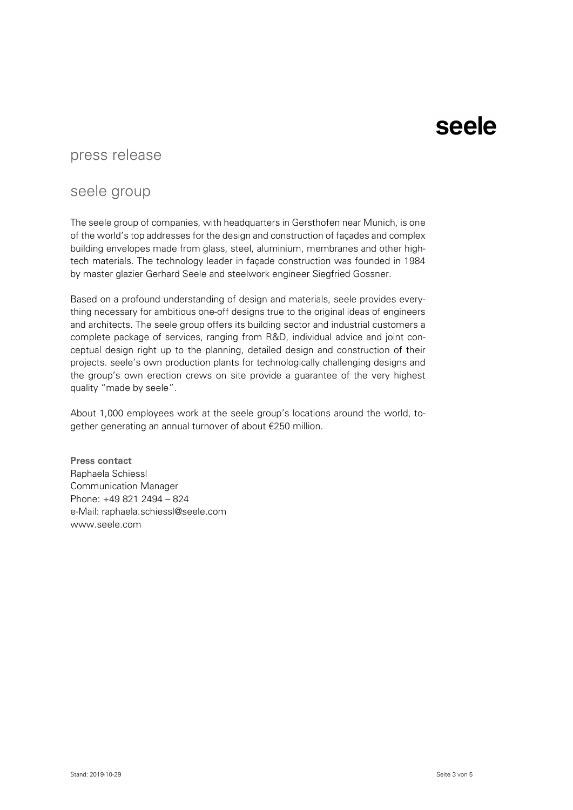### press release

### seele group

The seele group of companies, with headquarters in Gersthofen near Munich, is one of the world's top addresses for the design and construction of façades and complex building envelopes made from glass, steel, aluminium, membranes and other hightech materials. The technology leader in façade construction was founded in 1984 by master glazier Gerhard Seele and steelwork engineer Siegfried Gossner.

Based on a profound understanding of design and materials, seele provides everything necessary for ambitious one-off designs true to the original ideas of engineers and architects. The seele group offers its building sector and industrial customers a complete package of services, ranging from R&D, individual advice and joint conceptual design right up to the planning, detailed design and construction of their projects. seele's own production plants for technologically challenging designs and the group's own erection crews on site provide a guarantee of the very highest quality "made by seele".

About 1,000 employees work at the seele group's locations around the world, together generating an annual turnover of about €250 million.

**Press contact** Raphaela Schiessl Communication Manager Phone: +49 821 2494 – 824 e-Mail: [raphaela.schiessl@seele.com](mailto:raphaela.schiessl@seele.com) www.seele.com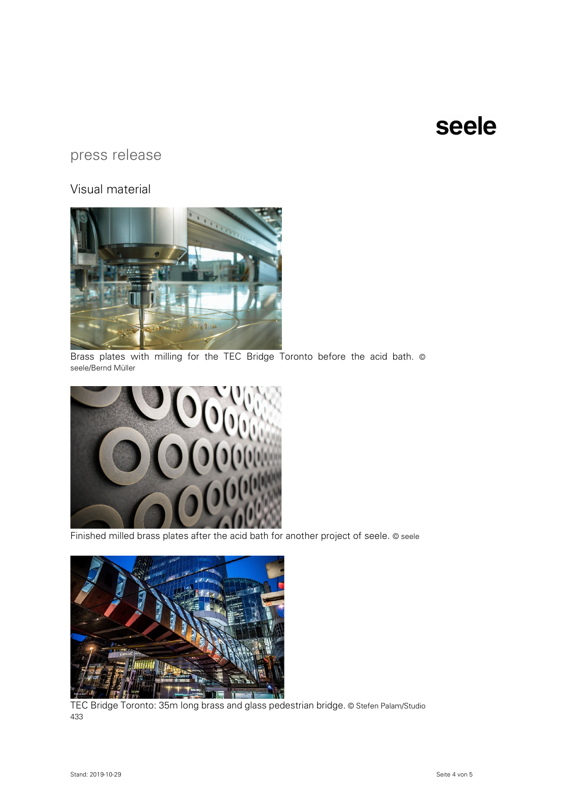### press release

#### Visual material



Brass plates with milling for the TEC Bridge Toronto before the acid bath. © seele/Bernd Müller



Finished milled brass plates after the acid bath for another project of seele. © seele



TEC Bridge Toronto: 35m long brass and glass pedestrian bridge. © Stefen Palam/Studio 433